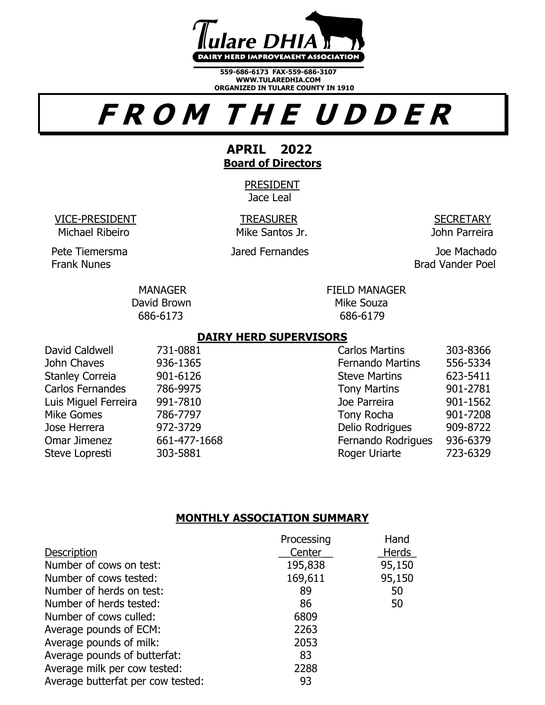

**559-686-6173 FAX-559-686-3107 WWW.TULAREDHIA.COM ORGANIZED IN TULARE COUNTY IN 1910** 

# **F R O M T H E U D D E R**

# **APRIL 2022 Board of Directors**

PRESIDENT Jace Leal

VICE-PRESIDENT TREASURER SECRETARY Michael Ribeiro Mike Santos Jr. John Parreira

Pete Tiemersma Jared Fernandes Joe Machado

Frank Nunes **Brad Vander Poel** 

MANAGER FIELD MANAGER David Brown Nike Souza 686-6173 686-6179

# **DAIRY HERD SUPERVISORS**

David Caldwell 231-0881 Carlos Martins 303-8366 John Chaves 936-1365 Fernando Martins 556-5334 Stanley Correia  $901-6126$  Steve Martins 623-5411 Carlos Fernandes 286-9975 Tony Martins 901-2781 Luis Miguel Ferreira 991-7810 Joe Parreira 901-1562 Mike Gomes **786-7797** Tony Rocha 901-7208 Jose Herrera 972-3729 Delio Rodrigues 909-8722 Omar Jimenez 661-477-1668 Fernando Rodrigues 936-6379 Steve Lopresti 303-5881 Roger Uriarte 723-6329

# **MONTHLY ASSOCIATION SUMMARY**

|                                   | Processing | Hand         |
|-----------------------------------|------------|--------------|
| <b>Description</b>                | Center     | <b>Herds</b> |
| Number of cows on test:           | 195,838    | 95,150       |
| Number of cows tested:            | 169,611    | 95,150       |
| Number of herds on test:          | 89         | 50           |
| Number of herds tested:           | 86         | 50           |
| Number of cows culled:            | 6809       |              |
| Average pounds of ECM:            | 2263       |              |
| Average pounds of milk:           | 2053       |              |
| Average pounds of butterfat:      | 83         |              |
| Average milk per cow tested:      | 2288       |              |
| Average butterfat per cow tested: | 93         |              |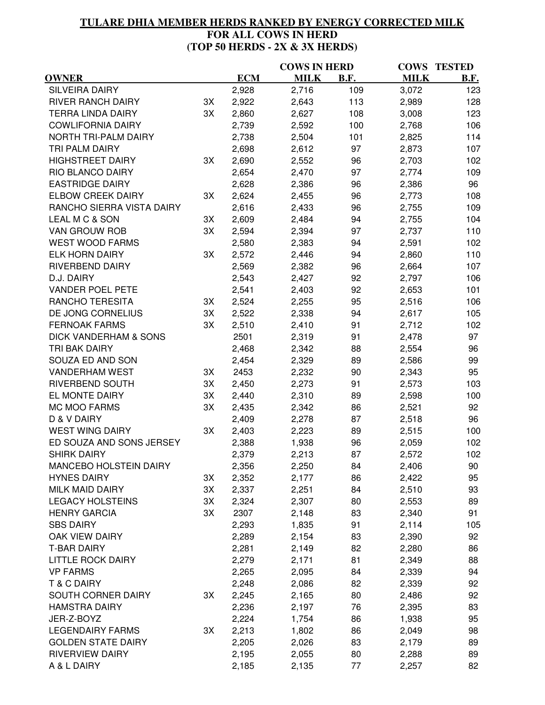# **TULARE DHIA MEMBER HERDS RANKED BY ENERGY CORRECTED MILK FOR ALL COWS IN HERD (TOP 50 HERDS - 2X & 3X HERDS)**

|                                  |    |            | <b>COWS IN HERD</b> |      | <b>COWS</b>    | <b>TESTED</b> |
|----------------------------------|----|------------|---------------------|------|----------------|---------------|
| <b>OWNER</b>                     |    | <b>ECM</b> | <b>MILK</b>         | B.F. | <b>MILK</b>    | <b>B.F.</b>   |
| <b>SILVEIRA DAIRY</b>            |    | 2,928      | 2,716               | 109  | 3,072          | 123           |
| <b>RIVER RANCH DAIRY</b>         | 3X | 2,922      | 2,643               | 113  | 2,989          | 128           |
| <b>TERRA LINDA DAIRY</b>         | 3X | 2,860      | 2,627               | 108  | 3,008          | 123           |
| <b>COWLIFORNIA DAIRY</b>         |    | 2,739      | 2,592               | 100  | 2,768          | 106           |
| NORTH TRI-PALM DAIRY             |    | 2,738      | 2,504               | 101  | 2,825          | 114           |
| TRI PALM DAIRY                   |    | 2,698      | 2,612               | 97   | 2,873          | 107           |
| <b>HIGHSTREET DAIRY</b>          | 3X | 2,690      | 2,552               | 96   | 2,703          | 102           |
| RIO BLANCO DAIRY                 |    | 2,654      | 2,470               | 97   | 2,774          | 109           |
| <b>EASTRIDGE DAIRY</b>           |    | 2,628      | 2,386               | 96   | 2,386          | 96            |
| <b>ELBOW CREEK DAIRY</b>         | 3X | 2,624      | 2,455               | 96   | 2,773          | 108           |
| RANCHO SIERRA VISTA DAIRY        |    | 2,616      | 2,433               | 96   | 2,755          | 109           |
| LEAL M C & SON                   | 3X | 2,609      | 2,484               | 94   | 2,755          | 104           |
| VAN GROUW ROB                    | 3X | 2,594      | 2,394               | 97   | 2,737          | 110           |
| <b>WEST WOOD FARMS</b>           |    | 2,580      | 2,383               | 94   | 2,591          | 102           |
| <b>ELK HORN DAIRY</b>            | 3X | 2,572      | 2,446               | 94   | 2,860          | 110           |
| RIVERBEND DAIRY                  |    | 2,569      | 2,382               | 96   | 2,664          | 107           |
| D.J. DAIRY                       |    | 2,543      | 2,427               | 92   | 2,797          | 106           |
| <b>VANDER POEL PETE</b>          |    | 2,541      | 2,403               | 92   | 2,653          | 101           |
| RANCHO TERESITA                  | 3X | 2,524      | 2,255               | 95   | 2,516          | 106           |
| DE JONG CORNELIUS                | 3X | 2,522      | 2,338               | 94   | 2,617          | 105           |
| <b>FERNOAK FARMS</b>             | 3X | 2,510      | 2,410               | 91   | 2,712          | 102           |
| <b>DICK VANDERHAM &amp; SONS</b> |    | 2501       | 2,319               | 91   | 2,478          | 97            |
| TRI BAK DAIRY                    |    | 2,468      | 2,342               | 88   | 2,554          | 96            |
| SOUZA ED AND SON                 |    | 2,454      | 2,329               | 89   | 2,586          | 99            |
| <b>VANDERHAM WEST</b>            | 3X | 2453       | 2,232               | 90   | 2,343          | 95            |
| RIVERBEND SOUTH                  | 3X | 2,450      | 2,273               | 91   | 2,573          | 103           |
| EL MONTE DAIRY                   | 3X | 2,440      | 2,310               | 89   | 2,598          | 100           |
| MC MOO FARMS                     | 3X | 2,435      | 2,342               | 86   | 2,521          | 92            |
| D & V DAIRY                      |    | 2,409      | 2,278               | 87   | 2,518          | 96            |
| <b>WEST WING DAIRY</b>           | 3X | 2,403      | 2,223               | 89   | 2,515          | 100           |
| ED SOUZA AND SONS JERSEY         |    | 2,388      |                     | 96   |                | 102           |
| <b>SHIRK DAIRY</b>               |    |            | 1,938               | 87   | 2,059<br>2,572 | 102           |
| MANCEBO HOLSTEIN DAIRY           |    | 2,379      | 2,213               |      |                |               |
|                                  |    | 2,356      | 2,250               | 84   | 2,406          | 90            |
| <b>HYNES DAIRY</b>               | 3X | 2,352      | 2,177               | 86   | 2,422          | 95            |
| <b>MILK MAID DAIRY</b>           | 3X | 2,337      | 2,251               | 84   | 2,510          | 93            |
| <b>LEGACY HOLSTEINS</b>          | 3X | 2,324      | 2,307               | 80   | 2,553          | 89            |
| <b>HENRY GARCIA</b>              | 3X | 2307       | 2,148               | 83   | 2,340          | 91            |
| <b>SBS DAIRY</b>                 |    | 2,293      | 1,835               | 91   | 2,114          | 105           |
| OAK VIEW DAIRY                   |    | 2,289      | 2,154               | 83   | 2,390          | 92            |
| <b>T-BAR DAIRY</b>               |    | 2,281      | 2,149               | 82   | 2,280          | 86            |
| <b>LITTLE ROCK DAIRY</b>         |    | 2,279      | 2,171               | 81   | 2,349          | 88            |
| <b>VP FARMS</b>                  |    | 2,265      | 2,095               | 84   | 2,339          | 94            |
| <b>T &amp; C DAIRY</b>           |    | 2,248      | 2,086               | 82   | 2,339          | 92            |
| SOUTH CORNER DAIRY               | 3X | 2,245      | 2,165               | 80   | 2,486          | 92            |
| <b>HAMSTRA DAIRY</b>             |    | 2,236      | 2,197               | 76   | 2,395          | 83            |
| JER-Z-BOYZ                       |    | 2,224      | 1,754               | 86   | 1,938          | 95            |
| <b>LEGENDAIRY FARMS</b>          | 3X | 2,213      | 1,802               | 86   | 2,049          | 98            |
| <b>GOLDEN STATE DAIRY</b>        |    | 2,205      | 2,026               | 83   | 2,179          | 89            |
| <b>RIVERVIEW DAIRY</b>           |    | 2,195      | 2,055               | 80   | 2,288          | 89            |
| A & L DAIRY                      |    | 2,185      | 2,135               | 77   | 2,257          | 82            |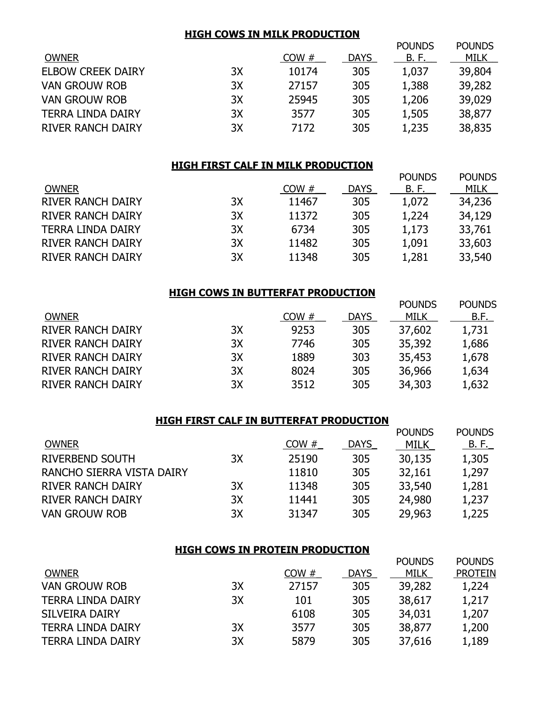#### **HIGH COWS IN MILK PRODUCTION**

|                          |    |       |             | <b>POUNDS</b> | <b>POUNDS</b> |
|--------------------------|----|-------|-------------|---------------|---------------|
| <b>OWNER</b>             |    | COW#  | <b>DAYS</b> | B. F.         | MILK          |
| <b>ELBOW CREEK DAIRY</b> | 3X | 10174 | 305         | 1,037         | 39,804        |
| <b>VAN GROUW ROB</b>     | 3X | 27157 | 305         | 1,388         | 39,282        |
| <b>VAN GROUW ROB</b>     | 3X | 25945 | 305         | 1,206         | 39,029        |
| <b>TERRA LINDA DAIRY</b> | 3X | 3577  | 305         | 1,505         | 38,877        |
| <b>RIVER RANCH DAIRY</b> | 3X | 7172  | 305         | 1,235         | 38,835        |
|                          |    |       |             |               |               |

#### **HIGH FIRST CALF IN MILK PRODUCTION**

|                          |    |       |             | <b>POUNDS</b> | <b>POUNDS</b> |
|--------------------------|----|-------|-------------|---------------|---------------|
| <b>OWNER</b>             |    | COW#  | <b>DAYS</b> | B. F.         | MILK          |
| <b>RIVER RANCH DAIRY</b> | 3X | 11467 | 305         | 1,072         | 34,236        |
| <b>RIVER RANCH DAIRY</b> | 3X | 11372 | 305         | 1,224         | 34,129        |
| <b>TERRA LINDA DAIRY</b> | 3X | 6734  | 305         | 1,173         | 33,761        |
| <b>RIVER RANCH DAIRY</b> | 3X | 11482 | 305         | 1,091         | 33,603        |
| <b>RIVER RANCH DAIRY</b> | 3X | 11348 | 305         | 1,281         | 33,540        |
|                          |    |       |             |               |               |

### **HIGH COWS IN BUTTERFAT PRODUCTION**

|    |      |             | <b>POUNDS</b> | <b>POUNDS</b> |
|----|------|-------------|---------------|---------------|
|    | COW# | <b>DAYS</b> | MILK          | B.F.          |
| 3X | 9253 | 305         | 37,602        | 1,731         |
| 3X | 7746 | 305         | 35,392        | 1,686         |
| 3X | 1889 | 303         | 35,453        | 1,678         |
| 3X | 8024 | 305         | 36,966        | 1,634         |
| 3X | 3512 | 305         | 34,303        | 1,632         |
|    |      |             |               |               |

| HIGH FIRST CALF IN BUTTERFAT PRODUCTION |    |       |             |               |               |
|-----------------------------------------|----|-------|-------------|---------------|---------------|
|                                         |    |       |             | <b>POUNDS</b> | <b>POUNDS</b> |
| <b>OWNER</b>                            |    | COW#  | <b>DAYS</b> | MILK          | <u>B.F.</u>   |
| <b>RIVERBEND SOUTH</b>                  | 3X | 25190 | 305         | 30,135        | 1,305         |
| RANCHO SIERRA VISTA DAIRY               |    | 11810 | 305         | 32,161        | 1,297         |
| <b>RIVER RANCH DAIRY</b>                | 3X | 11348 | 305         | 33,540        | 1,281         |
| <b>RIVER RANCH DAIRY</b>                | 3X | 11441 | 305         | 24,980        | 1,237         |
| <b>VAN GROUW ROB</b>                    | 3X | 31347 | 305         | 29,963        | 1,225         |

# **HIGH COWS IN PROTEIN PRODUCTION**

|                          |    |       |             | <b>POUNDS</b> | POUNDS         |
|--------------------------|----|-------|-------------|---------------|----------------|
| <b>OWNER</b>             |    | COW#  | <b>DAYS</b> | MILK          | <b>PROTEIN</b> |
| <b>VAN GROUW ROB</b>     | 3X | 27157 | 305         | 39,282        | 1,224          |
| <b>TERRA LINDA DAIRY</b> | 3X | 101   | 305         | 38,617        | 1,217          |
| <b>SILVEIRA DAIRY</b>    |    | 6108  | 305         | 34,031        | 1,207          |
| <b>TERRA LINDA DAIRY</b> | 3X | 3577  | 305         | 38,877        | 1,200          |
| <b>TERRA LINDA DAIRY</b> | 3X | 5879  | 305         | 37,616        | 1,189          |
|                          |    |       |             |               |                |